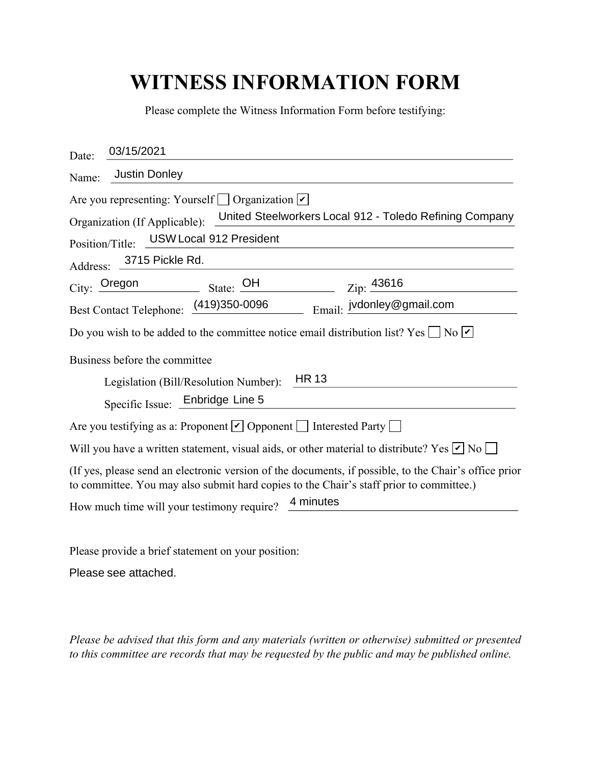## **WITNESS INFORMATION FORM**

| Please complete the Witness Information Form before testifying:                                                                                                                                  |
|--------------------------------------------------------------------------------------------------------------------------------------------------------------------------------------------------|
| 03/15/2021<br>Date:                                                                                                                                                                              |
| <b>Justin Donley</b><br>Name:                                                                                                                                                                    |
| Are you representing: Yourself $\Box$ Organization $\vert \checkmark \vert$<br>United Steelworkers Local 912 - Toledo Refining Company                                                           |
| Organization (If Applicable):                                                                                                                                                                    |
| USW Local 912 President<br>Position/Title:                                                                                                                                                       |
| Address: 3715 Pickle Rd.                                                                                                                                                                         |
| $City:$ Oregon $\qquad \qquad$<br>Zip: 43616                                                                                                                                                     |
| Best Contact Telephone: (419)350-0096<br>Email: jvdonley@gmail.com                                                                                                                               |
| Do you wish to be added to the committee notice email distribution list? Yes $\Box$ No $\Box$                                                                                                    |
| Business before the committee                                                                                                                                                                    |
| <b>HR 13</b><br>Legislation (Bill/Resolution Number):                                                                                                                                            |
| Specific Issue: Enbridge Line 5                                                                                                                                                                  |
| Are you testifying as a: Proponent $\Box$ Opponent $\Box$ Interested Party $\Box$                                                                                                                |
| Will you have a written statement, visual aids, or other material to distribute? Yes $\nu$ No $\Box$                                                                                             |
| (If yes, please send an electronic version of the documents, if possible, to the Chair's office prior<br>to committee. You may also submit hard copies to the Chair's staff prior to committee.) |
| 4 minutes<br>How much time will your testimony require?                                                                                                                                          |

Please provide a brief statement on your position:

Please see attached.

*Please be advised that this form and any materials (written or otherwise) submitted or presented to this committee are records that may be requested by the public and may be published online.*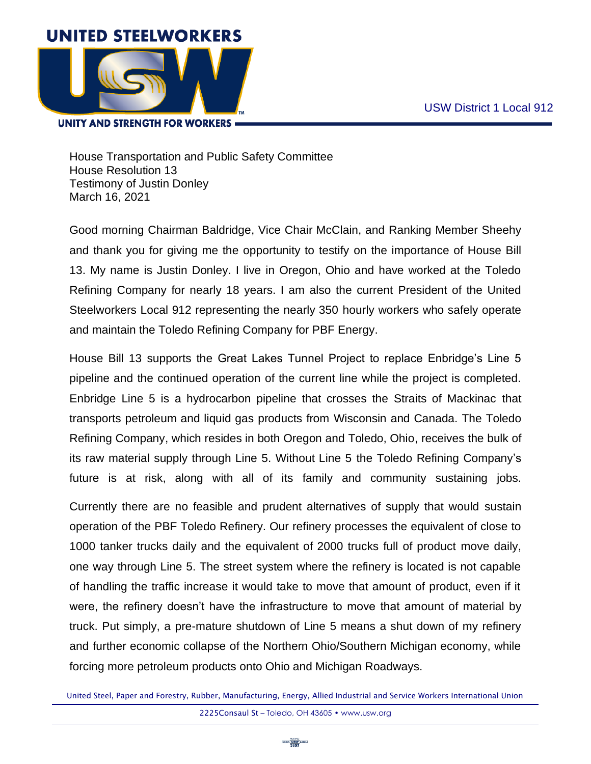

## **UNITY AND STRENGTH FOR WORKERS =**

House Transportation and Public Safety Committee House Resolution 13 Testimony of Justin Donley March 16, 2021

Good morning Chairman Baldridge, Vice Chair McClain, and Ranking Member Sheehy and thank you for giving me the opportunity to testify on the importance of House Bill 13. My name is Justin Donley. I live in Oregon, Ohio and have worked at the Toledo Refining Company for nearly 18 years. I am also the current President of the United Steelworkers Local 912 representing the nearly 350 hourly workers who safely operate and maintain the Toledo Refining Company for PBF Energy.

House Bill 13 supports the Great Lakes Tunnel Project to replace Enbridge's Line 5 pipeline and the continued operation of the current line while the project is completed. Enbridge Line 5 is a hydrocarbon pipeline that crosses the Straits of Mackinac that transports petroleum and liquid gas products from Wisconsin and Canada. The Toledo Refining Company, which resides in both Oregon and Toledo, Ohio, receives the bulk of its raw material supply through Line 5. Without Line 5 the Toledo Refining Company's future is at risk, along with all of its family and community sustaining jobs.

Currently there are no feasible and prudent alternatives of supply that would sustain operation of the PBF Toledo Refinery. Our refinery processes the equivalent of close to 1000 tanker trucks daily and the equivalent of 2000 trucks full of product move daily, one way through Line 5. The street system where the refinery is located is not capable of handling the traffic increase it would take to move that amount of product, even if it were, the refinery doesn't have the infrastructure to move that amount of material by truck. Put simply, a pre-mature shutdown of Line 5 means a shut down of my refinery and further economic collapse of the Northern Ohio/Southern Michigan economy, while forcing more petroleum products onto Ohio and Michigan Roadways.

United Steel, Paper and Forestry, Rubber, Manufacturing, Energy, Allied Industrial and Service Workers International Union